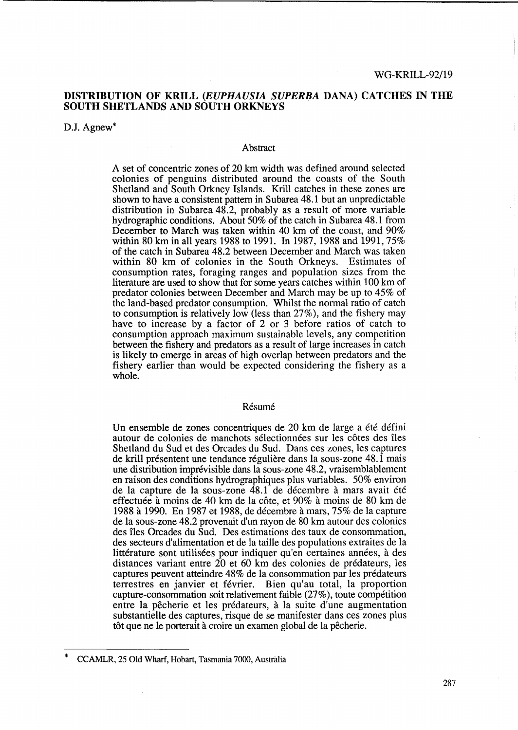# DISTRIBUTION OF KRILL *(EUPHAUSIA SUPERBA* DANA) CATCHES IN THE SOUTH SHETLANDS AND SOUTH ORKNEYS

D.J. Agnew<sup>\*</sup>

#### Abstract

A set of concentric zones of 20 km width was defined around selected colonies of penguins distributed around the coasts of the South Shetland and South Orkney Islands. Krill catches in these zones are shown to have a consistent pattern in Subarea 48.1 but an unpredictable distribution in Subarea 48.2, probably as a result of more variable hydrographic conditions. About 50% of the catch in Subarea 48.1 from December to March was taken within 40 km of the coast, and  $90\%$ within 80 km in all years 1988 to 1991. In 1987, 1988 and 1991,75% of the catch in Subarea 48.2 between December and March was taken within 80 km of colonies in the South Orkneys. Estimates of consumption rates, foraging ranges and population sizes from the literature are used to show that for some years catches within 100 km of predator colonies between December and March may be up to 45% of the land-based predator consumption. Whilst the normal ratio of catch to consumption is relatively low (less than 27%), and the fishery may have to increase by a factor of 2 or 3 before ratios of catch to consumption approach maximum sustainable levels, any competition between the fishery and predators as a result of large increases in catch is likely to emerge in areas of high overlap between predators and the fishery earlier than would be expected considering the fishery as a whole.

#### **Résumé**

Un ensemble de zones concentriques de 20 km de large a ete defini autour de colonies de manchots sélectionnées sur les côtes des îles Shetland du Sud et des Orcades du Sud. Dans ces zones, les captures de krill présentent une tendance régulière dans la sous-zone 48.1 mais une distribution imprevisible dans la sous-zone 48.2, vraisemblablement en raison des conditions hydrographiques plus variables. 50% environ de la capture de la sous-zone 48.1 de décembre à mars avait été effectuée à moins de 40 km de la côte, et 90% à moins de 80 km de 1988 a 1990. En 1987 et 1988, de decembre a mars, 75% de la capture de la sous-zone 48.2 provenait d'un rayon de 80 km autour des colonies des îles Orcades du Sud. Des estimations des taux de consommation, des secteurs d'alimentation et de la taille des populations extraites de la littérature sont utilisées pour indiquer qu'en certaines années, à des distances variant entre 20 et 60 km des colonies de predateurs, les captures peuvent atteindre 48% de la consommation par les predateurs terrestres en janvier et fevrier. Bien qu'au total, la proportion capture-consommation soit relativement faible (27%), toute competition entre la pêcherie et les prédateurs, à la suite d'une augmentation substantielle des captures, risque de se manifester dans ces zones plus tôt que ne le porterait à croire un examen global de la pêcherie.

<sup>\*</sup> CCAMLR, 25 Old Wharf, Hobart, Tasmania 7000, Australia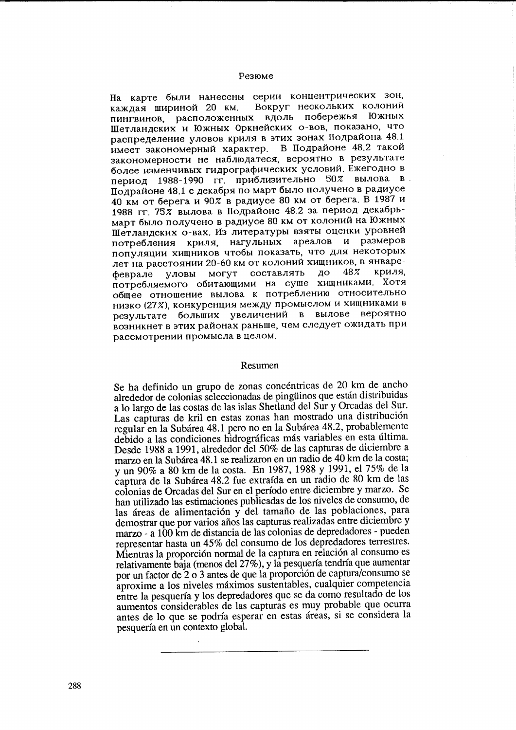#### Резюме

На карте были нанесены серии концентрических зон, Вокруг нескольких колоний каждая шириной 20 км. пингвинов, расположенных вдоль побережья Южных Шетландских и Южных Оркнейских о-вов, показано, что распределение уловов криля в этих зонах Подрайона 48.1 имеет закономерный характер. В Подрайоне 48.2 такой закономерности не наблюдатеся, вероятно в результате более изменчивых гидрографических условий. Ежегодно в вылова в 1988-1990 гг. приблизительно 50% период Подрайоне 48.1 с декабря по март было получено в радиусе 40 км от берега и 90% в радиусе 80 км от берега. В 1987 и 1988 гг. 75% вылова в Подрайоне 48.2 за период декабрьмарт было получено в радиусе 80 км от колоний на Южных Шетландских о-вах. Из литературы взяты оценки уровней потребления криля, нагульных ареалов и размеров популяции хищников чтобы показать, что для некоторых лет на расстоянии 20-60 км от колоний хищников, в январесоставлять криля. **MOLAL** ДО 48% уловы феврале потребляемого обитающими на суше хищниками. Хотя общее отношение вылова к потреблению относительно низко (27%), конкуренция между промыслом и хищниками в результате больших увеличений в вылове вероятно возникнет в этих районах раньше, чем следует ожидать при рассмотрении промысла в целом.

#### Resumen

Se ha definido un grupo de zonas concéntricas de 20 km de ancho alrededor de colonias seleccionadas de pingüinos que están distribuidas a lo largo de las costas de las islas Shetland del Sur y Orcadas del Sur. Las capturas de kril en estas zonas han mostrado una distribución regular en la Subárea 48.1 pero no en la Subárea 48.2, probablemente debido a las condiciones hidrográficas más variables en esta última. Desde 1988 a 1991, alrededor del 50% de las capturas de diciembre a marzo en la Subárea 48.1 se realizaron en un radio de 40 km de la costa; y un 90% a 80 km de la costa. En 1987, 1988 y 1991, el 75% de la captura de la Subárea 48.2 fue extraída en un radio de 80 km de las colonias de Orcadas del Sur en el período entre diciembre y marzo. Se han utilizado las estimaciones publicadas de los niveles de consumo, de las áreas de alimentación y del tamaño de las poblaciones, para demostrar que por varios años las capturas realizadas entre diciembre y marzo - a 100 km de distancia de las colonias de depredadores - pueden representar hasta un 45% del consumo de los depredadores terrestres. Mientras la proporción normal de la captura en relación al consumo es relativamente baja (menos del 27%), y la pesquería tendría que aumentar por un factor de 2 o 3 antes de que la proporción de captura/consumo se aproxime a los niveles máximos sustentables, cualquier competencia entre la pesquería y los depredadores que se da como resultado de los aumentos considerables de las capturas es muy probable que ocurra antes de lo que se podría esperar en estas áreas, si se considera la pesquería en un contexto global.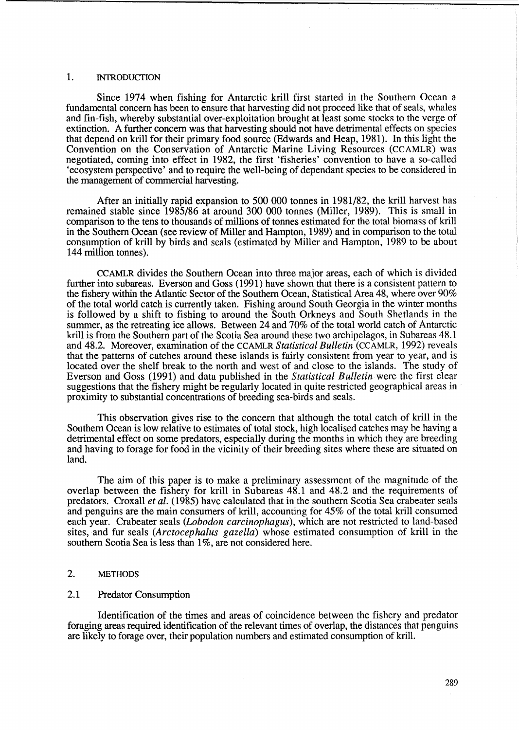### 1. INTRODUCTION

Since 1974 when fishing for Antarctic krill first started in the Southern Ocean a fundamental concern has been to ensure that harvesting did not proceed like that of seals, whales and fin-fish, whereby substantial over-exploitation brought at least some stocks to the verge of extinction. A further concern was that harvesting should not have detrimental effects on species that depend on krill for their primary food source (Edwards and Heap, 1981). In this light the Convention on the Conservation of Antarctic Marine Living Resources (CCAMLR) was negotiated, coming into effect in 1982, the first 'fisheries' convention to have a so-called 'ecosystem perspective' and to require the well-being of dependant species to be considered in the management of commercial harvesting.

After an initially rapid expansion to 500 000 tonnes in 1981/82, the krill harvest has remained stable since 1985/86 at around 300 000 tonnes (Miller, 1989). This is small in comparison to the tens to thousands of millions of tonnes estimated for the total biomass of krill in the Southern Ocean (see review of Miller and Hampton, 1989) and in comparison to the total consumption of krill by birds and seals (estimated by Miller and Hampton, 1989 to be about 144 million tonnes).

CCAMLR divides the Southern Ocean into three major areas, each of which is divided further into subareas. Everson and Goss (1991) have shown that there is a consistent pattern to the fishery within the Atlantic Sector of the Southern Ocean, Statistical Area 48, where over 90% of the total world catch is currently taken. Fishing around South Georgia in the winter months is followed by a shift to fishing to around the South Orkneys and South Shetlands in the summer, as the retreating ice allows. Between 24 and 70% of the total world catch of Antarctic krill is from the Southern part of the Scotia Sea around these two archipelagos, in Subareas 48.1 and 48.2. Moreover, examination of the CCAMLR *Statistical Bulletin* (CCAMLR, 1992) reveals that the patterns of catches around these islands is fairly consistent from year to year, and is located over the shelf break to the north and west of and close to the islands. The study of Everson and Goss (1991) and data published in the *Statistical Bulletin* were the first clear suggestions that the fishery might be regularly located in quite restricted geographical areas in proximity to substantial concentrations of breeding sea-birds and seals.

This observation gives rise to the concern that although the total catch of krill in the Southern Ocean is low relative to estimates of total stock, high localised catches may be having a detrimental effect on some predators, especially during the months in which they are breeding and having to forage for food in the vicinity of their breeding sites where these are situated on land.

The aim of this paper is to make a preliminary assessment of the magnitude of the overlap between the fishery for krill in Subareas 48.1 and 48.2 and the requirements of predators. Croxall *et al.* (1985) have calculated that in the southern Scotia Sea crabeater seals and penguins are the main consumers of krill, accounting for 45% of the total krill consumed each year. Crabeater seals *(Lobodon carcinophagus),* which are not restricted to land-based sites, and fur seals *(Arctocephalus gazella)* whose estimated consumption of krill in the southern Scotia Sea is less than 1%, are not considered here.

### 2. METHODS

### 2.1 Predator Consumption

Identification of the times and areas of coincidence between the fishery and predator foraging areas required identification of the relevant times of overlap, the distances that penguins are likely to forage over, their population numbers and estimated consumption of kriH.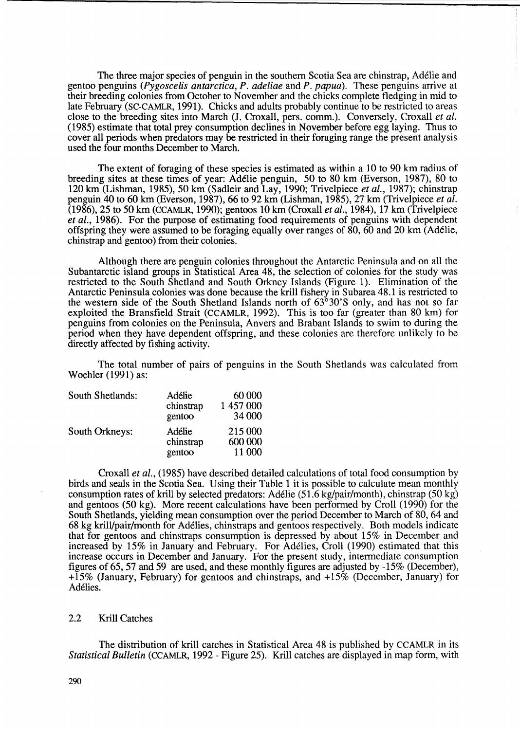The three major species of penguin in the southern Scotia Sea are chinstrap, Ad6lie and gentoo penguins *(Pygoscelis antarctica, P. adeliae* and *P. papua).* These penguins arrive at their breeding colonies from October to November and the chicks complete fledging in mid to late February (SC-CAMLR, 1991). Chicks and adults probably continue to be restricted to areas close to the breeding sites into March (J. Croxall, pers. comm.). Conversely, Croxall *et al.*  (1985) estimate that total prey consumption declines in November before egg laying. Thus to cover all periods when predators may be restricted in their foraging range the present analysis used the four months December to March.

The extent of foraging of these species is estimated as within a 10 to 90 km radius of breeding sites at these times of year: Ad6lie penguin, 50 to 80 km (Everson, 1987), 80 to 120 km (Lishman, 1985),50 km (Sadleir and Lay, 1990; Trivelpiece *et al.,* 1987); chinstrap penguin 40 to 60 km (Everson, 1987),66 to 92 km (Lishman, 1985),27 km (Trivelpiece *et al.*  (1986),25 to 50 km (CCAMLR, 1990); gentoos 10 km (Croxall *et al.,* 1984), 17 km (Trivelpiece *et al.,* 1986). For the purpose of estimating food requirements of penguins with dependent offspring they were assumed to be foraging equally over ranges of 80, 60 and 20 km (Ad6lie, chinstrap and gentoo) from their colonies.

Although there are penguin colonies throughout the Antarctic Peninsula and on all the Subantarctic island groups in Statistical Area 48, the selection of colonies for the study was restricted to the South Shetland and South Orkney Islands (Figure 1). Elimination of the Antarctic Peninsula colonies was done because the krill fishery in Subarea 48.1 is restricted to the western side of the South Shetland Islands north of 63°30'S only, and has not so far exploited the Bransfield Strait (CCAMLR, 1992). This is too far (greater than 80 km) for penguins from colonies on the Peninsula, Anvers and Brabant Islands to swim to during the period when they have dependent offspring, and these colonies are therefore unlikely to be directly affected by fishing activity.

The total number of pairs of penguins in the South Shetlands was calculated from Woehler (1991) as:

| South Shetlands: | Adélie<br>chinstrap<br>gentoo | 60 000<br>1 457 000<br>34 000 |
|------------------|-------------------------------|-------------------------------|
| South Orkneys:   | Adélie<br>chinstrap<br>gentoo | 215 000<br>600 000<br>11 000  |

Croxall *et al.,* (1985) have described detailed calculations of total food consumption by birds and seals in the Scotia Sea. Using their Table 1 it is possible to calculate mean monthly consumption rates of kriU by selected predators: Ad6lie (51.6 kg/pair/month), chinstrap (50 kg) and gentoos (50 kg). More recent calculations have been performed by Croll (1990) for the South Shetlands, yielding mean consumption over the period December to March of 80, 64 and 68 kg krilVpair/month for Ad6lies, chinstraps and gentoos respectively. Both models indicate that for gentoos and chinstraps consumption is depressed by about 15% in December and increased by 15% in January and February. For Adélies, Croll (1990) estimated that this increase occurs in December and January. For the present study, intermediate consumption figures of 65,57 and 59 are used, and these monthly figures are adjusted by -15% (December), +15% (January, February) for gentoos and chinstraps, and +15% (December, January) for Adélies.

### 2.2 Krill Catches

The distribution of krill catches in Statistical Area 48 is published by CCAMLR in its *Statistical Bulletin* (CCAMLR, 1992 - Figure 25). Krill catches are displayed in map form, with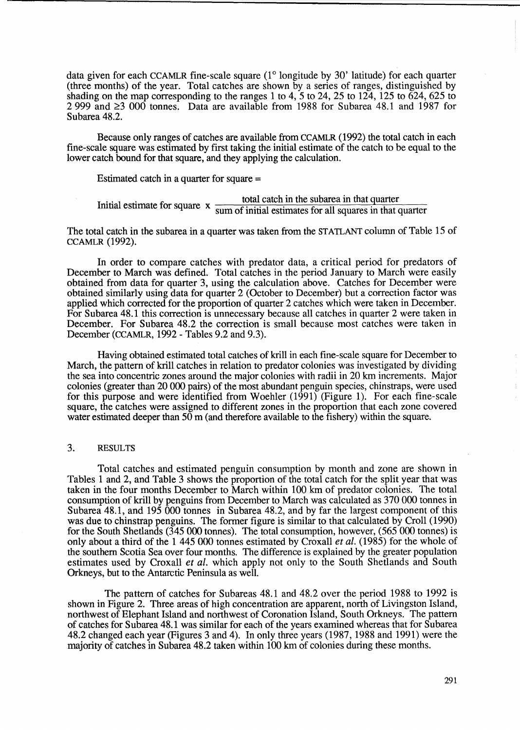data given for each CCAMLR fine-scale square  $(1^{\circ}$  longitude by 30' latitude) for each quarter (three months) of the year. Total catches are shown by a series of ranges, distinguished by shading on the map corresponding to the ranges 1 to 4, 5 to 24, 25 to 124, 125 to  $624$ ,  $625$  to 2 999 and  $\geq$  3 000 tonnes. Data are available from 1988 for Subarea 48.1 and 1987 for Subarea 48.2.

Because only ranges of catches are available from CCAMLR (1992) the total catch in each fine-scale square was estimated by first taking the initial estimate of the catch to be equal to the lower catch bound for that square, and they applying the calculation.

Estimated catch in a quarter for square =

 $I$  . Initial estimate for square x  $\frac{\text{total catch in the subarea in that quarter}}{\text{sum of initial estimates for all squares in that quarter}}$ 

The total catch in the subarea in a quarter was taken from the STATLANT column of Table 15 of CCAMLR (1992).

In order to compare catches with predator data, a critical period for predators of December to March was defined. Total catches in the period January to March were easily obtained from data for quarter 3, using the calculation above. Catches for December were obtained similarly using data for quarter 2 (October to December) but a correction factor was applied which corrected for the proportion of quarter 2 catches which were taken in December. For Subarea 48.1 this correction is unnecessary because all catches in quarter 2 were taken in December. For Subarea 48.2 the correction is small because most catches were taken in December (CCAMLR, 1992 - Tables 9.2 and 9.3).

Having obtained estimated total catches of krill in each fme-scale square for December to March, the pattern of krill catches in relation to predator colonies was investigated by dividing the sea into concentric zones around the major colonies with radii in 20 km increments. Major colonies (greater than 20 000 pairs) of the most abundant penguin species, chinstraps, were used for this purpose and were identified from Woehler (1991) (Figure 1). For each fine-scale square, the catches were assigned to different zones in the proportion that each zone covered water estimated deeper than  $50 \text{ m}$  (and therefore available to the fishery) within the square.

### 3. RESULTS

Total catches and estimated penguin consumption by month and zone are shown in Tables 1 and 2, and Table 3 shows the proportion of the total catch for the split year that was taken in the four months December to March within 100 km of predator colonies. The total consumption of krill by penguins from December to March was calculated as 370 000 tonnes in Subarea 48.1, and 195 000 tonnes in Subarea 48.2, and by far the largest component of this was due to chinstrap penguins. The former figure is similar to that calculated by Croll (1990) for the South Shetlands (345 000 tonnes). The total consumption, however, (565000 tonnes) is only about a third of the 1 445000 tonnes estimated by Croxall *et al.* (1985) for the whole of the southern Scotia Sea over four months. The difference is explained by the greater population estimates used by Croxall *et al.* which apply not only to the South Shetlands and South Orkneys, but to the Antarctic Peninsula as well.

The pattern of catches for Subareas 48.1 and 48.2 over the period 1988 to 1992 is shown in Figure 2. Three areas of high concentration are apparent, north of Livingston Island, northwest of Elephant Island and northwest of Coronation Island, South Orkneys. The pattern of catches for Subarea 48.1 was similar for each of the years examined whereas that for Subarea 48.2 changed each year (Figures 3 and 4). In only three years (1987, 1988 and 1991) were the majority of catches in Subarea 48.2 taken within 100 km of colonies during these months.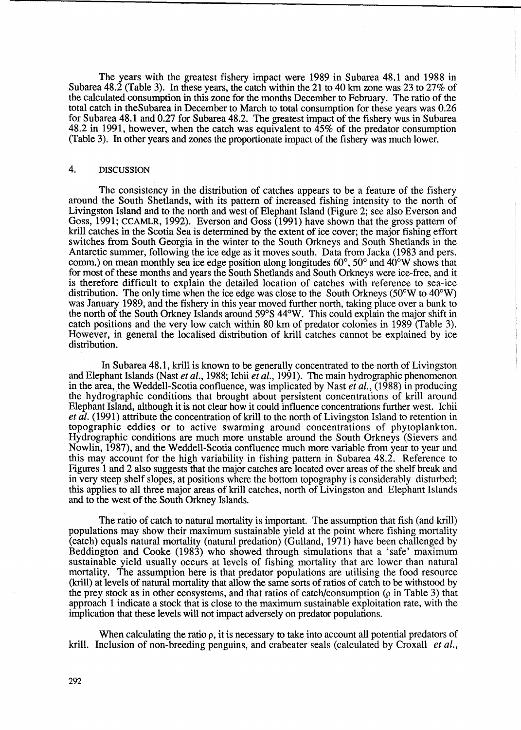The years with the greatest fishery impact were 1989 in Subarea 48.1 and 1988 in Subarea 48.2 (Table 3). In these years, the catch within the 21 to 40 km zone was 23 to 27% of the calculated consumption in this zone for the months December to February. The ratio of the total catch in theSubarea in December to March to total consumption for these years was 0.26 for Subarea 48.1 and 0.27 for Subarea 48.2. The greatest impact of the fishery was in Subarea 48.2 in 1991, however, when the catch was equivalent to 45% of the predator consumption (Table 3). In other years and zones the proportionate impact of the fishery was much lower.

## 4. DISCUSSION

The consistency in the distribution of catches appears to be a feature of the fishery around the South Shetlands, with its pattern of increased fishing intensity to the north of Livingston Island and to the north and west of Elephant Island (Figure 2; see also Everson and Goss, 1991; CCAMLR, 1992). Everson and Goss (1991) have shown that the gross pattern of krill catches in the Scotia Sea is determined by the extent of ice cover; the major fishing effort switches from South Georgia in the winter to the South Orkneys and South Shetlands in the Antarctic summer, following the ice edge as it moves south. Data from Jacka (1983 and pers. comm.) on mean monthly sea ice edge position along longitudes  $60^{\circ}$ ,  $50^{\circ}$  and  $40^{\circ}$ W shows that for most of these months and years the South Shetlands and South Orkneys were ice-free, and it is therefore difficult to explain the detailed location of catches with reference to sea-ice distribution. The only time when the ice edge was close to the South Orkneys  $(50^{\circ}$ W to  $40^{\circ}$ W) was January 1989, and the fishery in this year moved further north, taking place over a bank to the north of the South Orkney Islands around 59°S 44°W. This could explain the major shift in catch positions and the very low catch within 80 km of predator colonies in 1989 (Table 3). However, in general the localised distribution of krill catches cannot be explained by ice distribution.

In Subarea 48.1, krill is known to be generally concentrated to the north of Livingston and Elephant Islands (Nast *et al.*, 1988; Ichii *et al.*, 1991). The main hydrographic phenomenon in the area, the Weddell-Scotia confluence, was implicated by Nast *et al.,* (1988) in producing the hydrographic conditions that brought about persistent concentrations of krill around Elephant Island, although it is not clear how it could influence concentrations further west. Ichii *et al.* (1991) attribute the concentration of krill to the north of Livingston Island to retention in topographic eddies or to active swarming around concentrations of phytoplankton. Hydrographic conditions are much more unstable around the South Orkneys (Sievers and Nowlin, 1987), and the WeddeU-Scotia confluence much more variable from year to year and this may account for the high variability in fishing pattern in Subarea 48.2. Reference to Figures 1 and 2 also suggests that the major catches are located over areas of the shelf break and in very steep shelf slopes, at positions where the bottom topography is considerably disturbed; this applies to all three major areas of kriU catches, north of Livingston and Elephant Islands and to the west of the South Orkney Islands.

The ratio of catch to natural mortality is important. The assumption that fish (and krill) populations may show their maximum sustainable yield at the point where fishing mortality (catch) equals natural mortality (natural predation) (Gulland, 1971) have been challenged by Beddington and Cooke (1983) who showed through simulations that a 'safe' maximum sustainable yield usually occurs at levels of fishing mortality that are lower than natural mortality. The assumption here is that predator populations are utilising the food resource (krill) at levels of natural mortality that allow the same sorts of ratios of catch to be withstood by the prey stock as in other ecosystems, and that ratios of catch/consumption  $(\rho$  in Table 3) that approach 1 indicate a stock that is close to the maximum sustainable exploitation rate, with the implication that these levels will not impact adversely on predator populations.

When calculating the ratio  $\rho$ , it is necessary to take into account all potential predators of krill. Inclusion of non-breeding penguins, and crabeater seals (calculated by Croxall *et al.,*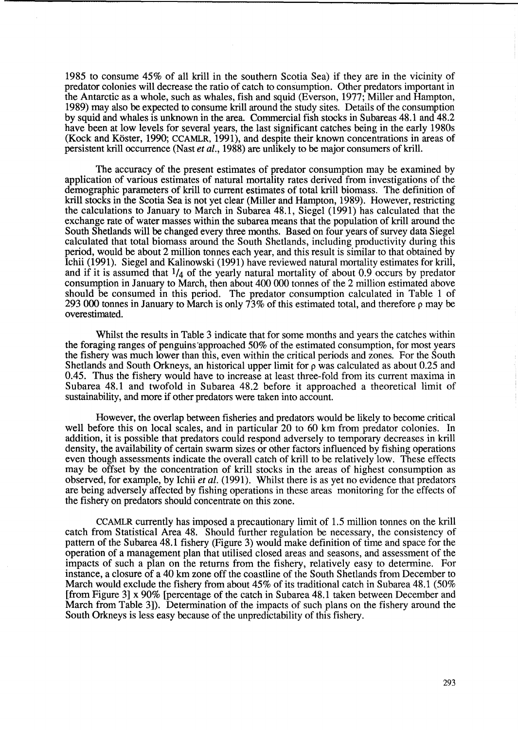1985 to consume 45% of all krill in the southern Scotia Sea) if they are in the vicinity of predator colonies will decrease the ratio of catch to consumption. Other predators important in the Antarctic as a whole, such as whales, fish and squid (Everson, 1977; Miller and Hampton, 1989) may also be expected to consume krill around the study sites. Details of the consumption by squid and whales is unknown in the area. Commercial fish stocks in Subareas 48.1 and 48.2 have been at low levels for several years, the last significant catches being in the early 1980s (Kock and Koster, 1990; CCAMLR, 1991), and despite their known concentrations in areas of persistent krill occurrence (Nast *et al.,* 1988) are unlikely to be major consumers of krill.

The accuracy of the present estimates of predator consumption may be examined by application of various estimates of natural mortality rates derived from investigations of the demographic parameters of krill to current estimates of total krill biomass. The definition of kriU stocks in the Scotia Sea is not yet clear (Miller and Hampton, 1989). However, restricting the calculations to January to March in Subarea 48.1, Siegel (1991) has calculated that the exchange rate of water masses within the subarea means that the population of krill around the South Shetlands will be changed every three months. Based on four years of survey data Siegel calculated that total biomass around the South Shetlands, including productivity during this period, would be about 2 million tonnes each year, and this result is similar to that obtained by Ichii (1991). Siegel and Kalinowski (1991) have reviewed natural mortality estimates for kriIl, and if it is assumed that  $1/4$  of the yearly natural mortality of about 0.9 occurs by predator consumption in January to March, then about 400 000 tonnes of the 2 million estimated above should be consumed in this period. The predator consumption calculated in Table 1 of 293 000 tonnes in January to March is only  $\frac{73}{\%}$  of this estimated total, and therefore p may be overestimated.

Whilst the results in Table 3 indicate that for some months and years the catches within the foraging ranges of penguins 'approached 50% of the estimated consumption, for most years the fishery was much lower than this, even within the critical periods and zones. For the South Shetlands and South Orkneys, an historical upper limit for  $\rho$  was calculated as about 0.25 and 0.45. Thus the fishery would have to increase at least three-fold from its current maxima in Subarea 48.1 and twofold in Subarea 48.2 before it approached a theoretical limit of sustainability, and more if other predators were taken into account.

However, the overlap between fisheries and predators would be likely to become critical well before this on local scales, and in particular 20 to 60 km from predator colonies. In addition, it is possible that predators could respond adversely to temporary decreases in krill density, the availability of certain swarm sizes or other factors influenced by fishing operations even though assessments indicate the overall catch of krill to be relatively low. These effects may be offset by the concentration of krill stocks in the areas of highest consumption as observed, for example, by Ichii *et al.* (1991). Whilst there is as yet no evidence that predators are being adversely affected by fishing operations in these areas monitoring for the effects of the fishery on predators should concentrate on this zone.

CCAMLR currently has imposed a precautionary limit of 1.5 million tonnes on the kriIl catch from Statistical Area 48. Should further regulation be necessary, the consistency of pattern of the Subarea 48.1 fishery (Figure 3) would make definition of time and space for the operation of a management plan that utilised closed areas and seasons, and assessment of the impacts of such a plan on the returns from the fishery, relatively easy to determine. For instance, a closure of a 40 km zone off the coastline of the South Shetlands from December to March would exclude the fishery from about 45% of its traditional catch in Subarea 48.1 (50%) [from Figure 3] x 90% [percentage of the catch in Subarea 48.1 taken between December and March from Table 3]). Determination of the impacts of such plans on the fishery around the South Orkneys is less easy because of the unpredictability of this fishery.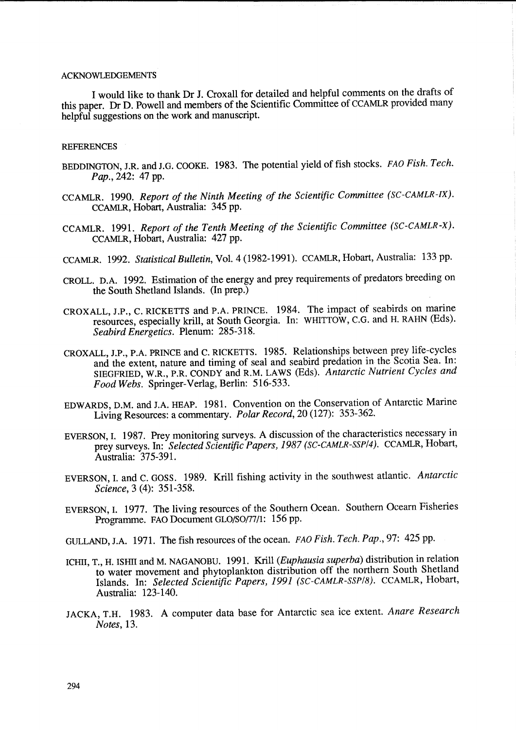### ACKNOWLEDGEMENTS

I would like to thank Dr J. Croxall for detailed and helpful comments on the drafts of this paper. Dr D. Powell and members of the Scientific Committee of CCAMLR provided many helpful suggestions on the work and manuscript.

#### **REFERENCES**

- BEDDINGTON, J.R. and J.G. COOKE. 1983. The potential yield of fish stocks. FAO *Fish. Tech. Pap.,242:* 47 pp.
- CCAMLR. 1990. *Report of the Ninth Meeting of the Scientific Committee (SC-CAMLR-IX).*  CCAMLR, Hobart, Australia: 345 pp.
- CCAMLR. 1991. *Report of the Tenth Meeting of the Scientific Committee (SC-CAMLR-X).*  CCAMLR, Hobart, Australia: 427 pp.
- CCAMLR. 1992. *Statistical Bulletin,* Vol. 4 (1982-1991). CCAMLR, Hobart, Australia: 133 pp.
- CROLL. D.A. 1992. Estimation of the energy and prey requirements of predators breeding on the South Shetland Islands. (In prep.)
- CROXALL, J.P., C. RICKETTS and P.A. PRINCE. 1984. The impact of seabirds on marine resources, especially krill, at South Georgia. In: WHITTOW, C.G. and H. RAHN (Eds). *Seabird Energetics.* Plenum: 285-318.
- CROXALL, J.P., P.A. PRINCE and C. RICKETTS. 1985. Relationships between prey life-cycles and the extent, nature and timing of seal and seabird predation in the Scotia Sea. In: SIEGFRIED, W.R., P.R. CONDY and R.M. LAWS (Eds). *Antarctic Nutrient Cycles and Food Webs.* Springer-Verlag, Berlin: 516-533.
- EDWARDS, D.M. and J.A. HEAP. 1981. Convention on the Conservation of Antarctic Marine Living Resources: a commentary. *Polar Record,* 20 (127): 353-362.
- EVERSON, I. 1987. Prey monitoring surveys. A discussion of the characteristics necessary in prey surveys. In: *Selected Scientific Papers,* 1987 *(SC-CAMLR-SSP/4).* CCAMLR, Hobart, Australia: 375-391.
- EVERSON, I. and C. GOSS. 1989. Krill fishing activity in the southwest atlantic. *Antarctic Science,* 3 (4): 351-358.
- EVERSON, I. 1977. The living resources of the Southern Ocean. Southern Ocearn Fisheries Programme. FAO Document GLO/SO/77/1: 156 pp.
- GULLAND, J.A. 1971. The fish resources of the ocean. FAO *Fish. Tech. Pap.,* 97: 425 pp.
- ICHII, T., H. ISHII and M. NAGANOBU. 1991. Krill *(Euphausia superba)* distribution in relation to water movement and phytoplankton distribution off the northern South Shetland Islands. In: *Selected Scientific Papers,* 1991 *(SC-CAMLR-SSP/S).* CCAMLR, Hobart, Australia: 123-140.
- JACKA, T.H. 1983. A computer data base for Antarctic sea ice extent. *Anare Research Notes,* 13.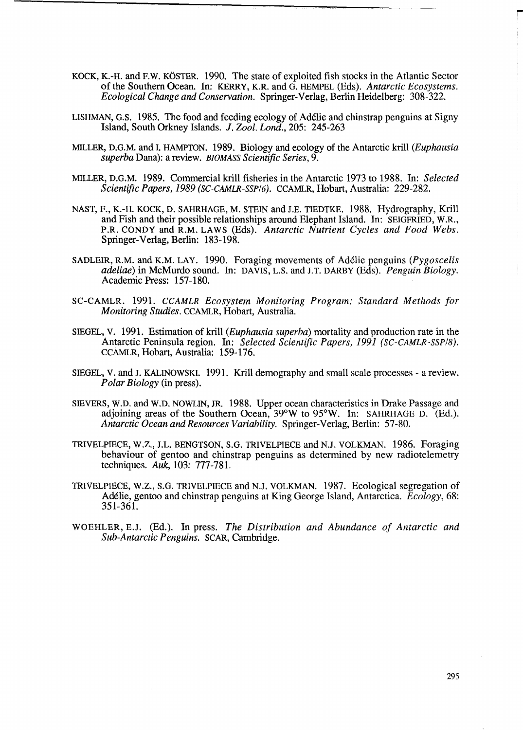- KOCK, K.-H. and F.W. KOSTER. 1990. The state of exploited fish stocks in the Atlantic Sector of the Southern Ocean. In: KERRY, K.R. and G. HEMPEL (Eds). *Antarctic Ecosystems. Ecological Change and Conservation.* Springer-Verlag, Berlin Heidelberg: 308-322.
- LISHMAN, G.S. 1985. The food and feeding ecology of Ad6lie and chinstrap penguins at Signy Island, South Orkney Islands. *1. Zool. Lond.,* 205: 245-263
- MILLER, D.G.M. and I. HAMPTON. 1989. Biology and ecology of the Antarctic krill *(Euphausia superba* Dana): a review. *BJOMASS Scientific Series, 9.*
- MILLER, D.G.M. 1989. Commercial krill fisheries in the Antarctic 1973 to 1988. In: *Selected Scientific Papers,* 1989 *(SC-CAMLR-SSP/6).* CCAMLR, Hobart, Australia: 229-282.
- NAST, F., K.-H. KOCK, D. SAHRHAGE, M. STEIN and I.E. TIEDTKE. 1988. Hydrography, Krill and Fish and their possible relationships around Elephant Island. In: SEIGFRIED, W.R., P.R. CONDY and R.M. LAWS (Eds). Antarctic Nutrient Cycles and Food Webs. Springer-Verlag, Berlin: 183-198.
- SADLEIR, R.M. and K.M. LAY. 1990. Foraging movements of Ad6lie penguins *(Pygoscelis adeliae)* in McMurdo sound. In: DAVIS, L.S. and J.T. DARBY (Eds). *Penguin Biology.*  Academic Press: 157-180.
- SC-CAMLR. 1991. *CCAMLR Ecosystem Monitoring Program: Standard Methods for Monitoring Studies.* CCAMLR, Hobart, Australia.
- SIEGEL, V. 1991. Estimation of kriU *(Euphausia superba)* mortality and production rate in the Antarctic Peninsula region. In: *Selected Scientific Papers,* 1991 *(SC-CAMLR-SSP/8).*  CCAMLR, Hobart, Australia: 159-176.
- SIEGEL, V. and J. KALINOWSKI. 1991. Krill demography and small scale processes a review. *Polar Biology* (in press).
- SIEVERS, W.D. and W.D. NOWLIN, JR. 1988. Upper ocean characteristics in Drake Passage and adjoining areas of the Southern Ocean, 39°W to 95°W. In: SAHRHAGE D. (Ed.). *Antarctic Ocean and Resources Variability.* Springer-Vedag, Berlin: 57-80.
- TRIVELPIECE, W.z., J.L. BENGTSON, S.G. TRIVELPIECE and NJ. VOLKMAN. 1986. Foraging behaviour of gentoo and chinstrap penguins as determined by new radiotelemetry techniques. Auk, 103: 777-781.
- TRIVELPIECE, W.Z., S.G. TRIVELPIECE and N.J. VOLKMAN. 1987. Ecological segregation of Ad6lie, gentoo and chinstrap penguins at King George Island, Antarctica. *Ecology,* 68: 351-361.
- WOEHLER, E.J. (Ed.). In press. *The Distribution and Abundance of Antarctic and Sub-Antarctic Penguins.* SCAR, Cambridge.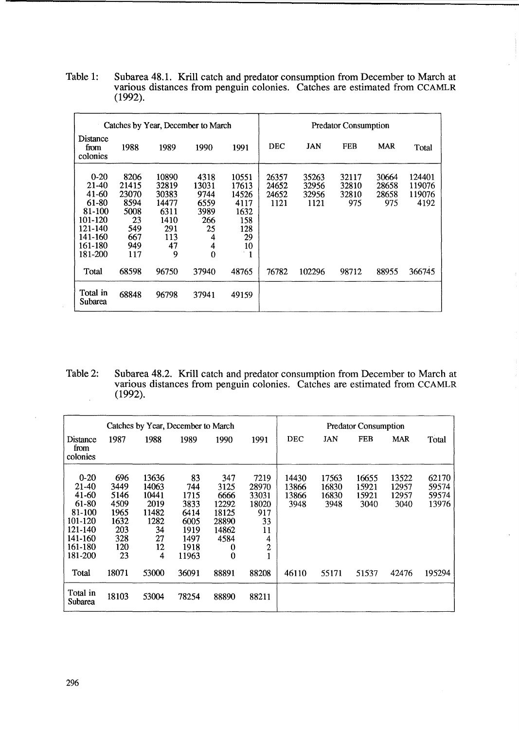Table 1: Subarea 48.1. KriU catch and predator consumption from December to March at various distances from penguin colonies. Catches are estimated from CCAMLR (1992).

| Catches by Year, December to March                                                                     |                                                                          |                                                                           |                                                                          |                                                                                | <b>Predator Consumption</b>     |                                 |                                |                                |                                    |  |
|--------------------------------------------------------------------------------------------------------|--------------------------------------------------------------------------|---------------------------------------------------------------------------|--------------------------------------------------------------------------|--------------------------------------------------------------------------------|---------------------------------|---------------------------------|--------------------------------|--------------------------------|------------------------------------|--|
| <b>Distance</b><br>from<br>colonies                                                                    | 1988                                                                     | 1989                                                                      | 1990                                                                     | 1991                                                                           | <b>DEC</b>                      | <b>JAN</b>                      | <b>FEB</b>                     | <b>MAR</b>                     | Total                              |  |
| $0-20$<br>21-40<br>$41 - 60$<br>61-80<br>81-100<br>101-120<br>121-140<br>141-160<br>161-180<br>181-200 | 8206<br>21415<br>23070<br>8594<br>5008<br>23<br>549<br>667<br>949<br>117 | 10890<br>32819<br>30383<br>14477<br>6311<br>1410<br>291<br>113<br>47<br>9 | 4318<br>13031<br>9744<br>6559<br>3989<br>266<br>25<br>4<br>4<br>$\bf{0}$ | 10551<br>17613<br>14526<br>4117<br>1632<br>158<br>128<br>29<br>10<br>$\cdot$ 1 | 26357<br>24652<br>24652<br>1121 | 35263<br>32956<br>32956<br>1121 | 32117<br>32810<br>32810<br>975 | 30664<br>28658<br>28658<br>975 | 124401<br>119076<br>119076<br>4192 |  |
| Total                                                                                                  | 68598                                                                    | 96750                                                                     | 37940                                                                    | 48765                                                                          | 76782                           | 102296                          | 98712                          | 88955                          | 366745                             |  |
| Total in<br><b>Subarea</b>                                                                             | 68848                                                                    | 96798                                                                     | 37941                                                                    | 49159                                                                          |                                 |                                 |                                |                                |                                    |  |

Table 2: Subarea 48.2. Krill catch and predator consumption from December to March at various distances from penguin colonies. Catches are estimated from CCAMLR (1992).  $\bar{\beta}$ 

| Catches by Year, December to March                                                                 |                                                                        |                                                                         |                                                                            |                                                                                  | <b>Predator Consumption</b>                                                 |                                 |                                 |                                 |                                 |                                  |
|----------------------------------------------------------------------------------------------------|------------------------------------------------------------------------|-------------------------------------------------------------------------|----------------------------------------------------------------------------|----------------------------------------------------------------------------------|-----------------------------------------------------------------------------|---------------------------------|---------------------------------|---------------------------------|---------------------------------|----------------------------------|
| Distance<br>from<br>colonies                                                                       | 1987                                                                   | 1988                                                                    | 1989                                                                       | 1990                                                                             | 1991                                                                        | <b>DEC</b>                      | JAN                             | <b>FEB</b>                      | <b>MAR</b>                      | Total                            |
| $0-20$<br>21-40<br>41-60<br>61-80<br>81-100<br>101-120<br>121-140<br>141-160<br>161-180<br>181-200 | 696<br>3449<br>5146<br>4509<br>1965<br>1632<br>203<br>328<br>120<br>23 | 13636<br>14063<br>10441<br>2019<br>11482<br>1282<br>34<br>27<br>12<br>4 | 83<br>744<br>1715<br>3833<br>6414<br>6005<br>1919<br>1497<br>1918<br>11963 | 347<br>3125<br>6666<br>12292<br>18125<br>28890<br>14862<br>4584<br>0<br>$\bf{0}$ | 7219<br>28970<br>33031<br>18020<br>917<br>33<br>11<br>4<br>$\boldsymbol{2}$ | 14430<br>13866<br>13866<br>3948 | 17563<br>16830<br>16830<br>3948 | 16655<br>15921<br>15921<br>3040 | 13522<br>12957<br>12957<br>3040 | 62170<br>59574<br>59574<br>13976 |
| Total                                                                                              | 18071                                                                  | 53000                                                                   | 36091                                                                      | 88891                                                                            | 88208                                                                       | 46110                           | 55171                           | 51537                           | 42476                           | 195294                           |
| Total in<br>Subarea                                                                                | 18103                                                                  | 53004                                                                   | 78254                                                                      | 88890                                                                            | 88211                                                                       |                                 |                                 |                                 |                                 |                                  |

 $\bar{\beta}$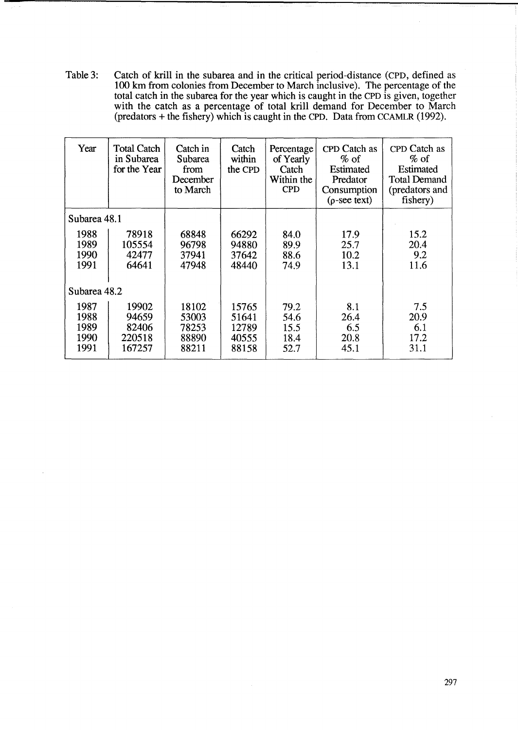Table 3: Catch of krill in the subarea and in the critical period-distance (CPD, defined as 100 km from colonies from December to March inclusive). The percentage of the total catch in the subarea for the year which is caught in the CPD is given, together with the catch as a percentage of total krill demand for December to March (predators + the fishery) which is caught in the CPD. Data from CCAMLR (1992).

| Year                                 | <b>Total Catch</b><br>in Subarea<br>for the Year | Catch in<br>Subarea<br>from<br>December<br>to March | Catch<br>within<br>the CPD                | Percentage<br>of Yearly<br>Catch<br>Within the<br><b>CPD</b> | CPD Catch as<br>$\%$ of<br>Estimated<br>Predator<br>Consumption<br>$(\rho$ -see text) | CPD Catch as<br>$%$ of<br><b>Estimated</b><br><b>Total Demand</b><br>(predators and<br>fishery) |
|--------------------------------------|--------------------------------------------------|-----------------------------------------------------|-------------------------------------------|--------------------------------------------------------------|---------------------------------------------------------------------------------------|-------------------------------------------------------------------------------------------------|
| Subarea 48.1                         |                                                  |                                                     |                                           |                                                              |                                                                                       |                                                                                                 |
| 1988<br>1989<br>1990<br>1991         | 78918<br>105554<br>42477<br>64641                | 68848<br>96798<br>37941<br>47948                    | 66292<br>94880<br>37642<br>48440          | 84.0<br>89.9<br>88.6<br>74.9                                 | 17.9<br>25.7<br>10.2<br>13.1                                                          | 15.2<br>20.4<br>9.2<br>11.6                                                                     |
| Subarea 48.2                         |                                                  |                                                     |                                           |                                                              |                                                                                       |                                                                                                 |
| 1987<br>1988<br>1989<br>1990<br>1991 | 19902<br>94659<br>82406<br>220518<br>167257      | 18102<br>53003<br>78253<br>88890<br>88211           | 15765<br>51641<br>12789<br>40555<br>88158 | 79.2<br>54.6<br>15.5<br>18.4<br>52.7                         | 8.1<br>26.4<br>6.5<br>20.8<br>45.1                                                    | 7.5<br>20.9<br>6.1<br>17.2<br>31.1                                                              |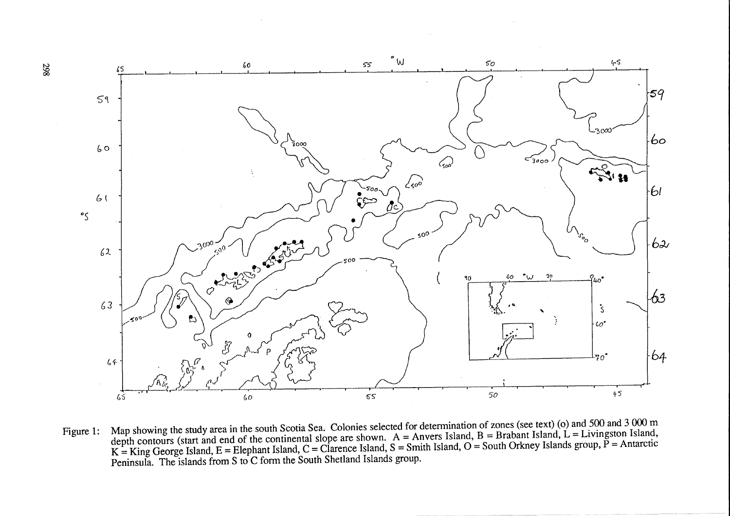

Figure 1: Map showing the study area in the south Scotia Sea. Colonies selected for determination of zones (see text) (o) and 500 and 3 000 m<br>A parameter Island B = Brabant Island I = I ivingston Island. depth contours (start and end of the continental slope are shown.  $A =$  Anvers Island,  $B =$  Brabant Island,  $L =$  Livingston Island,  $K = King George Island, E = Elephant Island, C = Clarence Island, S = Smith Island, O = South Orkney Islands group, P = Antarctic$ Peninsula. The islands from S to C form the South Shetland Islands group.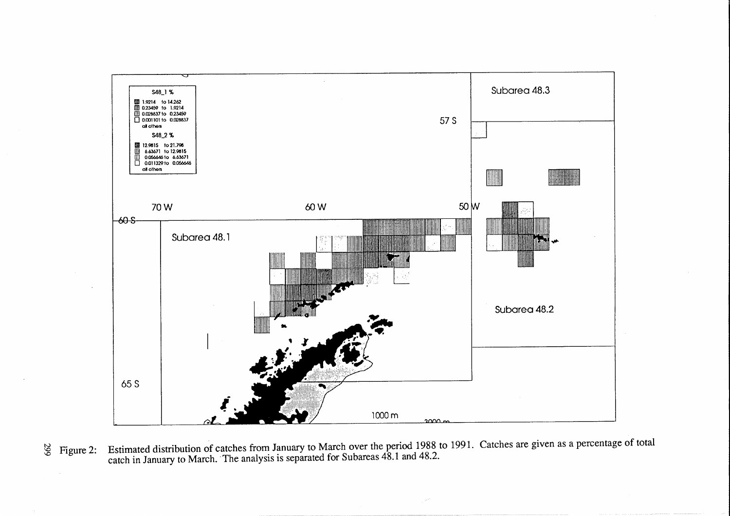

Estimated distribution of catches from January to March over the period 1988 to 1991. Catches are given as a percentage of total catch in January to March. The analysis is separated for Subareas 48.1 and 48.2.  $\frac{12}{5}$  Figure 2: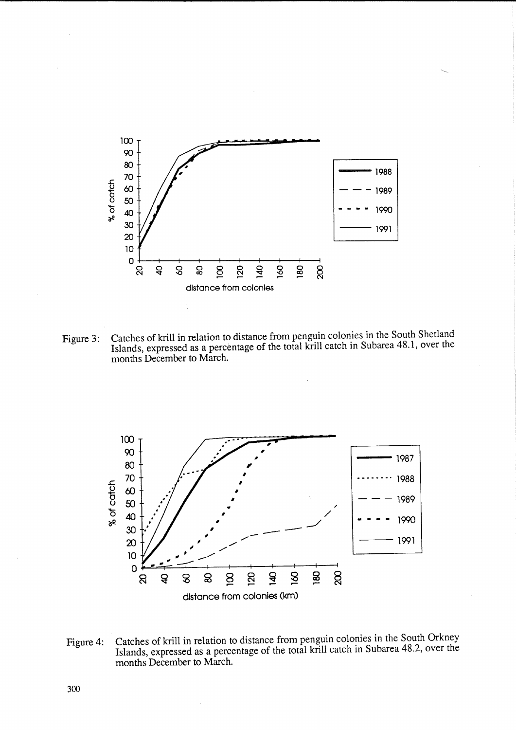

Catches of krill in relation to distance from penguin colonies in the South Shetland<br>Islands, expressed as a percentage of the total krill catch in Subarea 48.1, over the Figure 3: months December to March.



Catches of krill in relation to distance from penguin colonies in the South Orkney Figure 4: Islands, expressed as a percentage of the total krill catch in Subarea 48.2, over the months December to March.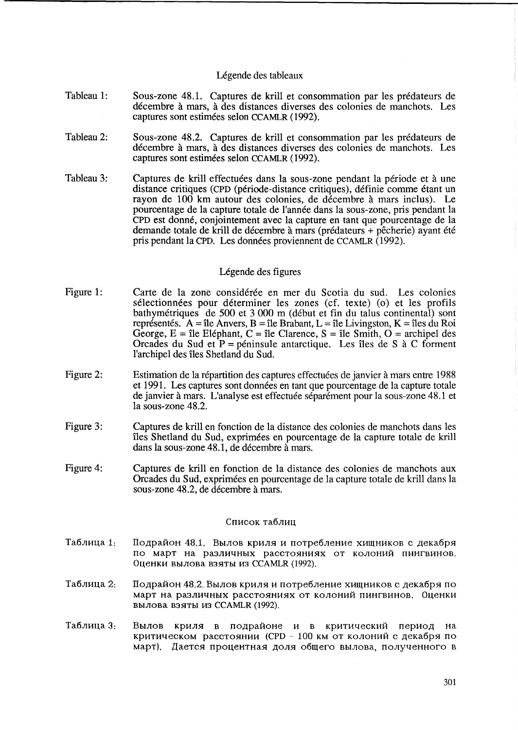### Légende des tableaux

- Tableau 1: Sous-zone 48.1. Captures de krill et consommation par les predateurs de decembre a mars, a des distances diverses des colonies de manchots. Les captures sont estimees selon CCAMLR (1992).
- Tableau 2: Sous-zone 48.2. Captures de krill et consommation par les predateurs de decembre a mars, a des distances diverses des colonies de manchots. Les captures sont estimees selon CCAMLR (1992).
- Tableau 3: Captures de krill effectuées dans la sous-zone pendant la période et à une distance critiques (CPD (periode-distance critiques), definie comme etant un rayon de 100 km autour des colonies, de décembre à mars inclus). Le pourcentage de la capture totale de l'annee dans la sous-zone, pris pendant la CPD est donne, conjointement avec la capture en tant que pourcentage de la demande totale de krill de décembre à mars (prédateurs + pêcherie) ayant été pris pendant la CPD. Les données proviennent de CCAMLR (1992).

## Légende des figures

- Figure 1: Carte de la zone considérée en mer du Scotia du sud. Les colonies sélectionnées pour déterminer les zones (cf. texte) (o) et les profils bathymetriques de 500 et 3000 m (debut et fin du talus continental) sont représentés. A = île Anvers, B = île Brabant, L = île Livingston, K = îles du Roi George,  $E = \hat{\mathbf{I}}$ le Eléphant,  $C = \hat{\mathbf{I}}$ le Clarence,  $S = \hat{\mathbf{I}}$ le Smith,  $O = \text{archipel des}$ Orcades du Sud et  $P =$  péninsule antarctique. Les îles de S à C forment l'archipel des îles Shetland du Sud.
- Figure 2: Estimation de la répartition des captures effectuées de janvier à mars entre 1988 et 1991. Les captures sont données en tant que pourcentage de la capture totale de janvier a mars. L'analyse est effectuee separement pour la sous-zone 48.1 et la sous-zone 48.2.
- Figure 3: Captures de krill en fonction de la distance des colonies de manchots dans les îles Shetland du Sud, exprimées en pourcentage de la capture totale de krill dans la sous-zone 48.1, de décembre  $\tilde{a}$  mars.
- Figure 4: Captures de krill en fonction de la distance des colonies de manchots aux Orcades du Sud, exprimees en pourcentage de la capture totale de krill dans la sous-zone 48.2, de decembre a mars.

### Список таблиц

- Таблица 1: Подрайон 48.1. Вылов криля и потребление хищников с декабря. по март на различных расстояниях от колоний пингвинов. Оценки вылова взяты из CCAMLR (1992).
- Таблица 2: Подрайон 48.2. Вылов криля и потребление хищников с декабря по март на различных расстояниях от колоний пингвинов. Оценки вылова взяты из CCAMLR (1992).
- Таблица 3: Вылов криля в подрайоне и в критический период на критическом расстоянии (CPD - 100 км от колоний с декабря по март). Дается процентная доля общего вылова, полученного в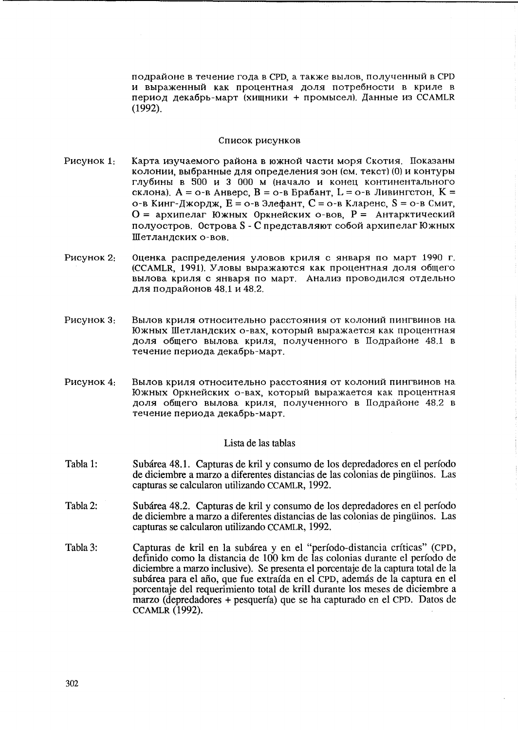подрайоне в течение года в СРD, а также вылов, полученный в СРD и выраженный как процентная доля потребности в криле в период декабрь-март (хищники + промысел). Данные из CCAMLR  $(1992)$ .

#### Список рисунков

- Рисунок 1: Карта изучаемого района в южной части моря Скотия. Показаны колонии, выбранные для определения зон (см. текст) (0) и контуры глубины в 500 и 3 000 м (начало и конец континентального склона),  $A = o$ -в Анверс,  $B = o$ -в Брабант,  $L = o$ -в Ливингстон,  $K =$ о-в Кинг-Джордж, Е = о-в Элефант, С = о-в Кларенс, S = о-в Смит, О = архипелаг Южных Оркнейских о-вов. Р = Антарктический полуостров. Острова S - С представляют собой архипелаг Южных Шетландских о-вов.
- Рисунок 2: Оценка распределения уловов криля с января по март 1990 г. (CCAMLR, 1991), Уловы выражаются как процентная доля общего вылова криля с января по март. Анализ проводился отдельно для подрайонов 48.1 и 48.2.
- Рисунок 3: Вылов криля относительно расстояния от колоний пингвинов на Южных Шетландских о-вах, который выражается как процентная доля общего вылова криля, полученного в Подрайоне 48.1 в течение периода декабрь-март.
- Рисунок 4: Вылов криля относительно расстояния от колоний пингвинов на Южных Оркнейских о-вах, который выражается как процентная доля общего вылова криля, полученного в Подрайоне 48.2 в течение периода декабрь-март.

## Lista de las tablas

- Tabla 1: Subárea 48.1. Capturas de kril y consumo de los depredadores en el período de diciembre a marzo a diferentes distancias de las colonias de pinguinos. Las capturas se calcularon utilizando CCAMLR, 1992.
- Tabla 2: Subárea 48.2. Capturas de kril y consumo de los depredadores en el período de diciembre a marzo a diferentes distancias de las colonias de pingüinos. Las capturas se calcularon utilizando CCAMLR, 1992.
- Tabla 3: Capturas de kril en la subárea y en el "período-distancia críticas" (CPD, definido como la distancia de 100 km de las colonias durante el período de diciembre a marzo inclusive). Se presenta el porcentaje de la captura total de la subárea para el año, que fue extraída en el CPD, además de la captura en el porcentaje del requerimiento total de krill durante los meses de diciembre a marzo (depredadores + pesquería) que se ha capturado en el CPD. Datos de **CCAMLR (1992).**